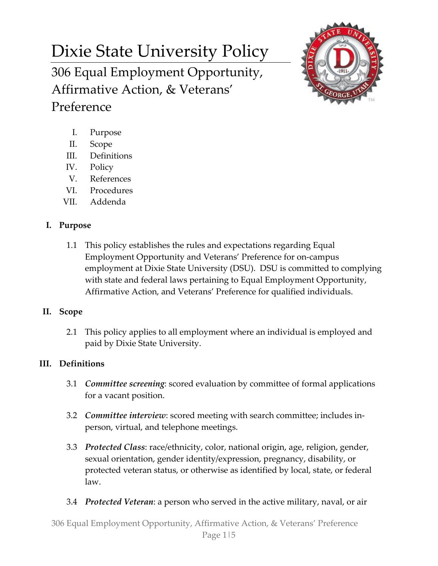# Dixie State University Policy 306 Equal Employment Opportunity, Affirmative Action, & Veterans'



- I. Purpose
- II. Scope

Preference

- III. Definitions
- IV. Policy
- V. References
- VI. Procedures
- VII. Addenda

# **I. Purpose**

1.1 This policy establishes the rules and expectations regarding Equal Employment Opportunity and Veterans' Preference for on-campus employment at Dixie State University (DSU). DSU is committed to complying with state and federal laws pertaining to Equal Employment Opportunity, Affirmative Action, and Veterans' Preference for qualified individuals.

# **II. Scope**

2.1 This policy applies to all employment where an individual is employed and paid by Dixie State University.

# **III. Definitions**

- 3.1 *Committee screening*: scored evaluation by committee of formal applications for a vacant position.
- 3.2 *Committee interview*: scored meeting with search committee; includes inperson, virtual, and telephone meetings.
- 3.3 *Protected Class*: race/ethnicity, color, national origin, age, religion, gender, sexual orientation, gender identity/expression, pregnancy, disability, or protected veteran status, or otherwise as identified by local, state, or federal law.
- 3.4 *Protected Veteran*: a person who served in the active military, naval, or air

306 Equal Employment Opportunity, Affirmative Action, & Veterans' Preference Page 1|5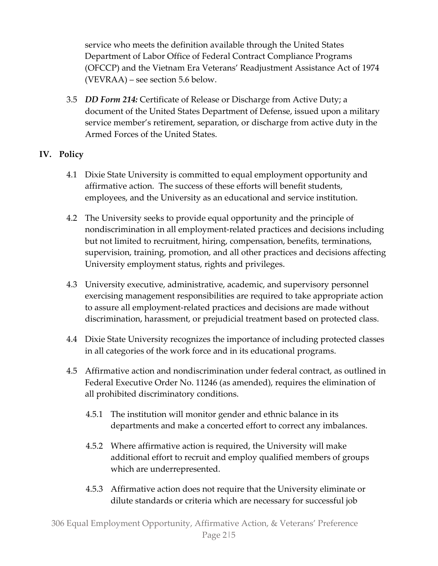service who meets the definition available through the United States Department of Labor Office of Federal Contract Compliance Programs (OFCCP) and the Vietnam Era Veterans' Readjustment Assistance Act of 1974 (VEVRAA) – see section 5.6 below.

3.5 *DD Form 214:* Certificate of Release or Discharge from Active Duty; a document of the United States Department of Defense, issued upon a military service member's retirement, separation, or discharge from active duty in the Armed Forces of the United States.

### **IV. Policy**

- 4.1 Dixie State University is committed to equal employment opportunity and affirmative action. The success of these efforts will benefit students, employees, and the University as an educational and service institution.
- 4.2 The University seeks to provide equal opportunity and the principle of nondiscrimination in all employment-related practices and decisions including but not limited to recruitment, hiring, compensation, benefits, terminations, supervision, training, promotion, and all other practices and decisions affecting University employment status, rights and privileges.
- 4.3 University executive, administrative, academic, and supervisory personnel exercising management responsibilities are required to take appropriate action to assure all employment-related practices and decisions are made without discrimination, harassment, or prejudicial treatment based on protected class.
- 4.4 Dixie State University recognizes the importance of including protected classes in all categories of the work force and in its educational programs.
- 4.5 Affirmative action and nondiscrimination under federal contract, as outlined in Federal Executive Order No. 11246 (as amended), requires the elimination of all prohibited discriminatory conditions.
	- 4.5.1 The institution will monitor gender and ethnic balance in its departments and make a concerted effort to correct any imbalances.
	- 4.5.2 Where affirmative action is required, the University will make additional effort to recruit and employ qualified members of groups which are underrepresented.
	- 4.5.3 Affirmative action does not require that the University eliminate or dilute standards or criteria which are necessary for successful job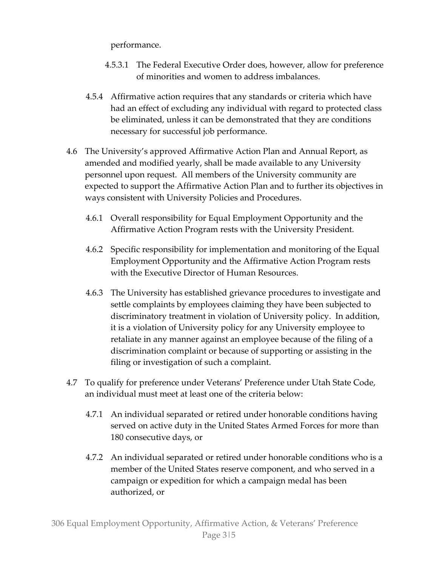performance.

- 4.5.3.1 The Federal Executive Order does, however, allow for preference of minorities and women to address imbalances.
- 4.5.4 Affirmative action requires that any standards or criteria which have had an effect of excluding any individual with regard to protected class be eliminated, unless it can be demonstrated that they are conditions necessary for successful job performance.
- 4.6 The University's approved Affirmative Action Plan and Annual Report, as amended and modified yearly, shall be made available to any University personnel upon request. All members of the University community are expected to support the Affirmative Action Plan and to further its objectives in ways consistent with University Policies and Procedures.
	- 4.6.1 Overall responsibility for Equal Employment Opportunity and the Affirmative Action Program rests with the University President.
	- 4.6.2 Specific responsibility for implementation and monitoring of the Equal Employment Opportunity and the Affirmative Action Program rests with the Executive Director of Human Resources.
	- 4.6.3 The University has established grievance procedures to investigate and settle complaints by employees claiming they have been subjected to discriminatory treatment in violation of University policy. In addition, it is a violation of University policy for any University employee to retaliate in any manner against an employee because of the filing of a discrimination complaint or because of supporting or assisting in the filing or investigation of such a complaint.
- 4.7 To qualify for preference under Veterans' Preference under Utah State Code, an individual must meet at least one of the criteria below:
	- 4.7.1 An individual separated or retired under honorable conditions having served on active duty in the United States Armed Forces for more than 180 consecutive days, or
	- 4.7.2 An individual separated or retired under honorable conditions who is a member of the United States reserve component, and who served in a campaign or expedition for which a campaign medal has been authorized, or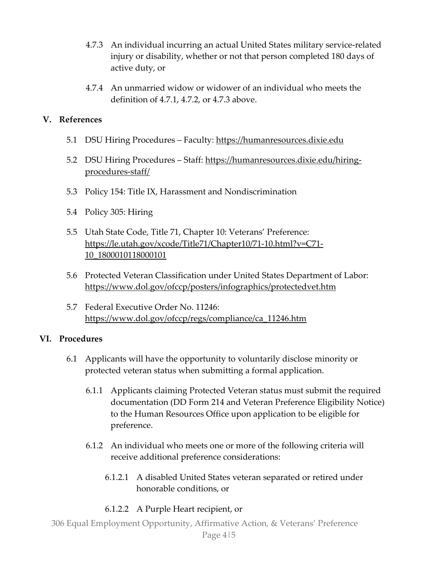- 4.7.3 An individual incurring an actual United States military service-related injury or disability, whether or not that person completed 180 days of active duty, or
- 4.7.4 An unmarried widow or widower of an individual who meets the definition of 4.7.1, 4.7.2, or 4.7.3 above.

#### **V. References**

- 5.1 DSU Hiring Procedures Faculty: https://humanresources.dixie.edu
- 5.2 DSU Hiring Procedures Staff: [https://humanresources.dixie.edu/hiring](https://humanresources.dixie.edu/hiring-procedures-staff/)[procedures-staff/](https://humanresources.dixie.edu/hiring-procedures-staff/)
- 5.3 Policy 154: Title IX, Harassment and Nondiscrimination
- 5.4 Policy 305: Hiring
- 5.5 Utah State Code, Title 71, Chapter 10: Veterans' Preference: [https://le.utah.gov/xcode/Title71/Chapter10/71-10.html?v=C71-](https://le.utah.gov/xcode/Title71/Chapter10/71-10.html?v=C71-10_1800010118000101) [10\\_1800010118000101](https://le.utah.gov/xcode/Title71/Chapter10/71-10.html?v=C71-10_1800010118000101)
- 5.6 Protected Veteran Classification under United States Department of Labor: <https://www.dol.gov/ofccp/posters/infographics/protectedvet.htm>
- 5.7 Federal Executive Order No. 11246: [https://www.dol.gov/ofccp/regs/compliance/ca\\_11246.htm](https://www.dol.gov/ofccp/regs/compliance/ca_11246.htm)

#### **VI. Procedures**

- 6.1 Applicants will have the opportunity to voluntarily disclose minority or protected veteran status when submitting a formal application.
	- 6.1.1 Applicants claiming Protected Veteran status must submit the required documentation (DD Form 214 and Veteran Preference Eligibility Notice) to the Human Resources Office upon application to be eligible for preference.
	- 6.1.2 An individual who meets one or more of the following criteria will receive additional preference considerations:
		- 6.1.2.1 A disabled United States veteran separated or retired under honorable conditions, or
		- 6.1.2.2 A Purple Heart recipient, or

306 Equal Employment Opportunity, Affirmative Action, & Veterans' Preference Page 4|5